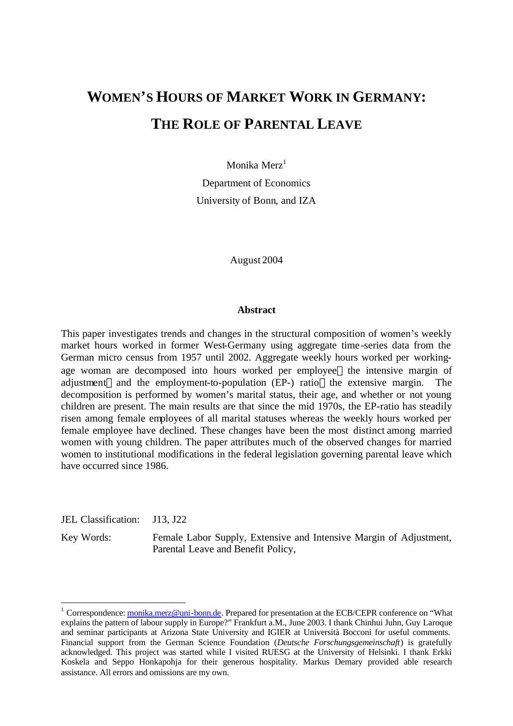# **WOMEN'S HOURS OF MARKET WORK IN GERMANY: THE ROLE OF PARENTAL LEAVE**

Monika Merz<sup>1</sup>

Department of Economics University of Bonn, and IZA

August 2004

#### **Abstract**

This paper investigates trends and changes in the structural composition of women's weekly market hours worked in former West-Germany using aggregate time-series data from the German micro census from 1957 until 2002. Aggregate weekly hours worked per workingage woman are decomposed into hours worked per employee—the intensive margin of adjustment—and the employment-to-population (EP-) ratio—the extensive margin. The decomposition is performed by women's marital status, their age, and whether or not young children are present. The main results are that since the mid 1970s, the EP-ratio has steadily risen among female employees of all marital statuses whereas the weekly hours worked per female employee have declined. These changes have been the most distinct among married women with young children. The paper attributes much of the observed changes for married women to institutional modifications in the federal legislation governing parental leave which have occurred since 1986.

JEL Classification: J13, J22

 $\overline{a}$ 

Key Words: Female Labor Supply, Extensive and Intensive Margin of Adjustment, Parental Leave and Benefit Policy,

<sup>&</sup>lt;sup>1</sup> Correspondence: monika.merz@uni-bonn.de. Prepared for presentation at the ECB/CEPR conference on "What explains the pattern of labour supply in Europe?" Frankfurt a.M., June 2003. I thank Chinhui Juhn, Guy Laroque and seminar participants at Arizona State University and IGIER at Università Bocconi for useful comments. Financial support from the German Science Foundation (*Deutsche Forschungsgemeinschaft*) is gratefully acknowledged. This project was started while I visited RUESG at the University of Helsinki. I thank Erkki Koskela and Seppo Honkapohja for their generous hospitality. Markus Demary provided able research assistance. All errors and omissions are my own.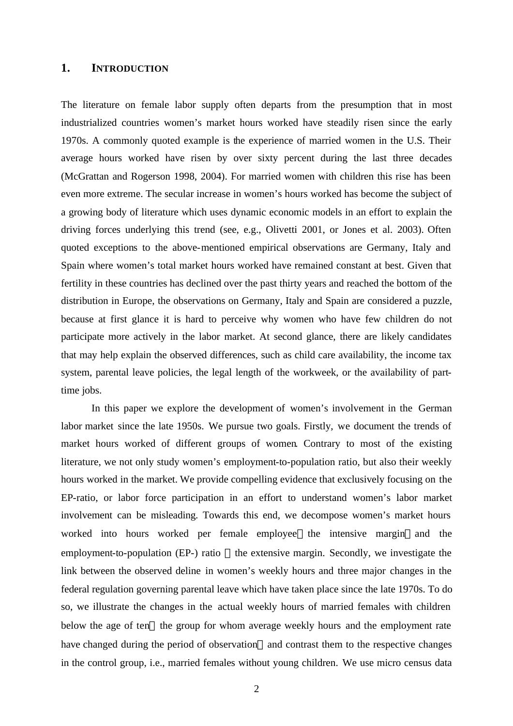# **1. INTRODUCTION**

The literature on female labor supply often departs from the presumption that in most industrialized countries women's market hours worked have steadily risen since the early 1970s. A commonly quoted example is the experience of married women in the U.S. Their average hours worked have risen by over sixty percent during the last three decades (McGrattan and Rogerson 1998, 2004). For married women with children this rise has been even more extreme. The secular increase in women's hours worked has become the subject of a growing body of literature which uses dynamic economic models in an effort to explain the driving forces underlying this trend (see, e.g., Olivetti 2001, or Jones et al. 2003). Often quoted exceptions to the above-mentioned empirical observations are Germany, Italy and Spain where women's total market hours worked have remained constant at best. Given that fertility in these countries has declined over the past thirty years and reached the bottom of the distribution in Europe, the observations on Germany, Italy and Spain are considered a puzzle, because at first glance it is hard to perceive why women who have few children do not participate more actively in the labor market. At second glance, there are likely candidates that may help explain the observed differences, such as child care availability, the income tax system, parental leave policies, the legal length of the workweek, or the availability of parttime jobs.

In this paper we explore the development of women's involvement in the German labor market since the late 1950s. We pursue two goals. Firstly, we document the trends of market hours worked of different groups of women. Contrary to most of the existing literature, we not only study women's employment-to-population ratio, but also their weekly hours worked in the market. We provide compelling evidence that exclusively focusing on the EP-ratio, or labor force participation in an effort to understand women's labor market involvement can be misleading. Towards this end, we decompose women's market hours worked into hours worked per female employee—the intensive margin—and the employment-to-population (EP-) ratio —the extensive margin. Secondly, we investigate the link between the observed deline in women's weekly hours and three major changes in the federal regulation governing parental leave which have taken place since the late 1970s. To do so, we illustrate the changes in the actual weekly hours of married females with children below the age of ten-the group for whom average weekly hours and the employment rate have changed during the period of observation—and contrast them to the respective changes in the control group, i.e., married females without young children. We use micro census data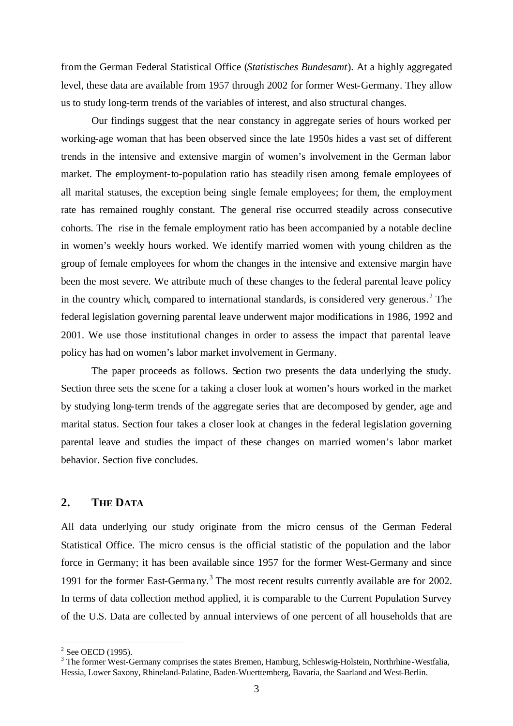from the German Federal Statistical Office (*Statistisches Bundesamt*). At a highly aggregated level, these data are available from 1957 through 2002 for former West-Germany. They allow us to study long-term trends of the variables of interest, and also structural changes.

Our findings suggest that the near constancy in aggregate series of hours worked per working-age woman that has been observed since the late 1950s hides a vast set of different trends in the intensive and extensive margin of women's involvement in the German labor market. The employment-to-population ratio has steadily risen among female employees of all marital statuses, the exception being single female employees; for them, the employment rate has remained roughly constant. The general rise occurred steadily across consecutive cohorts. The rise in the female employment ratio has been accompanied by a notable decline in women's weekly hours worked. We identify married women with young children as the group of female employees for whom the changes in the intensive and extensive margin have been the most severe. We attribute much of these changes to the federal parental leave policy in the country which, compared to international standards, is considered very generous.<sup>2</sup> The federal legislation governing parental leave underwent major modifications in 1986, 1992 and 2001. We use those institutional changes in order to assess the impact that parental leave policy has had on women's labor market involvement in Germany.

The paper proceeds as follows. Section two presents the data underlying the study. Section three sets the scene for a taking a closer look at women's hours worked in the market by studying long-term trends of the aggregate series that are decomposed by gender, age and marital status. Section four takes a closer look at changes in the federal legislation governing parental leave and studies the impact of these changes on married women's labor market behavior. Section five concludes.

## **2. THE DATA**

All data underlying our study originate from the micro census of the German Federal Statistical Office. The micro census is the official statistic of the population and the labor force in Germany; it has been available since 1957 for the former West-Germany and since 1991 for the former East-Germa ny.<sup>3</sup> The most recent results currently available are for 2002. In terms of data collection method applied, it is comparable to the Current Population Survey of the U.S. Data are collected by annual interviews of one percent of all households that are

 $\overline{a}$ 

 $2$  See OECD (1995).

<sup>&</sup>lt;sup>3</sup> The former West-Germany comprises the states Bremen, Hamburg, Schleswig-Holstein, Northrhine-Westfalia, Hessia, Lower Saxony, Rhineland-Palatine, Baden-Wuerttemberg, Bavaria, the Saarland and West-Berlin.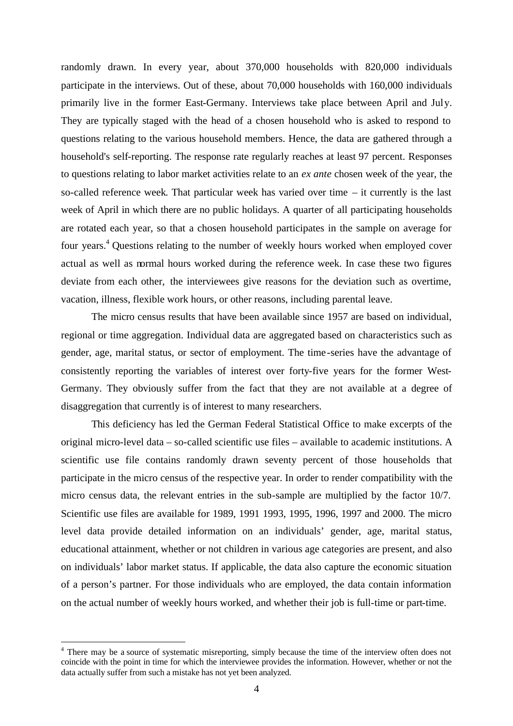randomly drawn. In every year, about 370,000 households with 820,000 individuals participate in the interviews. Out of these, about 70,000 households with 160,000 individuals primarily live in the former East-Germany. Interviews take place between April and July. They are typically staged with the head of a chosen household who is asked to respond to questions relating to the various household members. Hence, the data are gathered through a household's self-reporting. The response rate regularly reaches at least 97 percent. Responses to questions relating to labor market activities relate to an *ex ante* chosen week of the year, the so-called reference week. That particular week has varied over time – it currently is the last week of April in which there are no public holidays. A quarter of all participating households are rotated each year, so that a chosen household participates in the sample on average for four years.<sup>4</sup> Questions relating to the number of weekly hours worked when employed cover actual as well as normal hours worked during the reference week. In case these two figures deviate from each other, the interviewees give reasons for the deviation such as overtime, vacation, illness, flexible work hours, or other reasons, including parental leave.

The micro census results that have been available since 1957 are based on individual, regional or time aggregation. Individual data are aggregated based on characteristics such as gender, age, marital status, or sector of employment. The time-series have the advantage of consistently reporting the variables of interest over forty-five years for the former West-Germany. They obviously suffer from the fact that they are not available at a degree of disaggregation that currently is of interest to many researchers.

This deficiency has led the German Federal Statistical Office to make excerpts of the original micro-level data – so-called scientific use files – available to academic institutions. A scientific use file contains randomly drawn seventy percent of those households that participate in the micro census of the respective year. In order to render compatibility with the micro census data, the relevant entries in the sub-sample are multiplied by the factor 10/7. Scientific use files are available for 1989, 1991 1993, 1995, 1996, 1997 and 2000. The micro level data provide detailed information on an individuals' gender, age, marital status, educational attainment, whether or not children in various age categories are present, and also on individuals' labor market status. If applicable, the data also capture the economic situation of a person's partner. For those individuals who are employed, the data contain information on the actual number of weekly hours worked, and whether their job is full-time or part-time.

 $\overline{a}$ 

<sup>&</sup>lt;sup>4</sup> There may be a source of systematic misreporting, simply because the time of the interview often does not coincide with the point in time for which the interviewee provides the information. However, whether or not the data actually suffer from such a mistake has not yet been analyzed.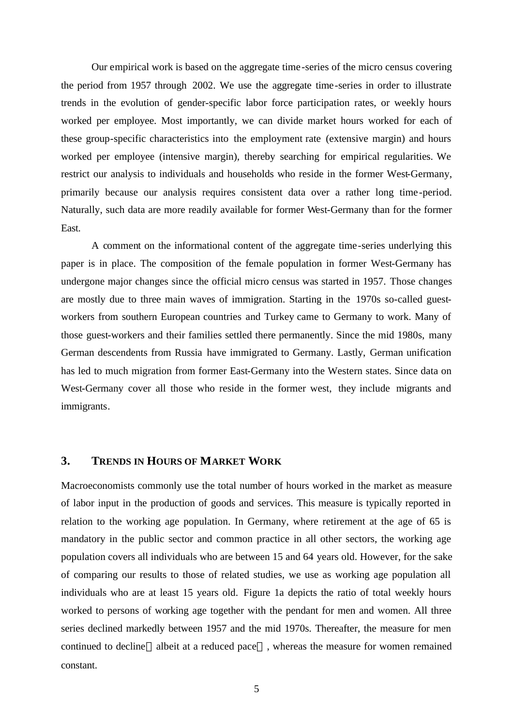Our empirical work is based on the aggregate time-series of the micro census covering the period from 1957 through 2002. We use the aggregate time-series in order to illustrate trends in the evolution of gender-specific labor force participation rates, or weekly hours worked per employee. Most importantly, we can divide market hours worked for each of these group-specific characteristics into the employment rate (extensive margin) and hours worked per employee (intensive margin), thereby searching for empirical regularities. We restrict our analysis to individuals and households who reside in the former West-Germany, primarily because our analysis requires consistent data over a rather long time-period. Naturally, such data are more readily available for former West-Germany than for the former East.

A comment on the informational content of the aggregate time-series underlying this paper is in place. The composition of the female population in former West-Germany has undergone major changes since the official micro census was started in 1957. Those changes are mostly due to three main waves of immigration. Starting in the 1970s so-called guestworkers from southern European countries and Turkey came to Germany to work. Many of those guest-workers and their families settled there permanently. Since the mid 1980s, many German descendents from Russia have immigrated to Germany. Lastly, German unification has led to much migration from former East-Germany into the Western states. Since data on West-Germany cover all those who reside in the former west, they include migrants and immigrants.

# **3. TRENDS IN HOURS OF MARKET WORK**

Macroeconomists commonly use the total number of hours worked in the market as measure of labor input in the production of goods and services. This measure is typically reported in relation to the working age population. In Germany, where retirement at the age of 65 is mandatory in the public sector and common practice in all other sectors, the working age population covers all individuals who are between 15 and 64 years old. However, for the sake of comparing our results to those of related studies, we use as working age population all individuals who are at least 15 years old. Figure 1a depicts the ratio of total weekly hours worked to persons of working age together with the pendant for men and women. All three series declined markedly between 1957 and the mid 1970s. Thereafter, the measure for men continued to decline—albeit at a reduced pace—, whereas the measure for women remained constant.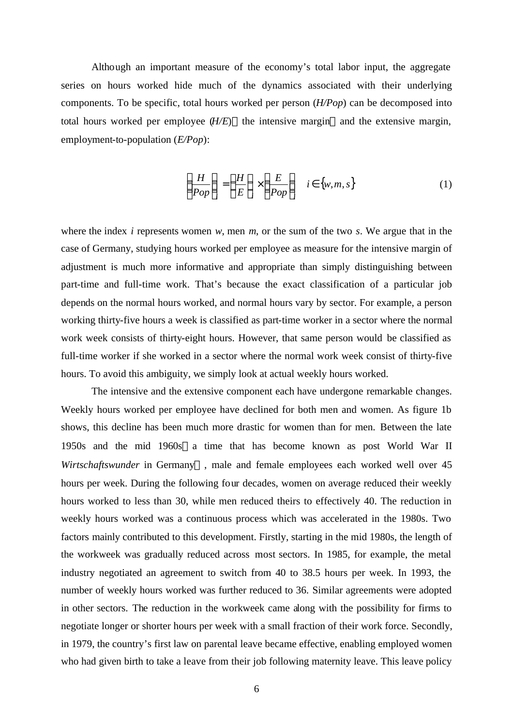Although an important measure of the economy's total labor input, the aggregate series on hours worked hide much of the dynamics associated with their underlying components. To be specific, total hours worked per person (*H/Pop*) can be decomposed into total hours worked per employee  $(H/E)$ —the intensive margin—and the extensive margin, employment-to-population (*E/Pop*):

$$
\left(\frac{H}{Pop}\right)_i = \left(\frac{H}{E}\right)_i \times \left(\frac{E}{Pop}\right)_i \quad i \in \{w, m, s\}
$$
 (1)

where the index *i* represents women *w*, men *m*, or the sum of the two *s*. We argue that in the case of Germany, studying hours worked per employee as measure for the intensive margin of adjustment is much more informative and appropriate than simply distinguishing between part-time and full-time work. That's because the exact classification of a particular job depends on the normal hours worked, and normal hours vary by sector. For example, a person working thirty-five hours a week is classified as part-time worker in a sector where the normal work week consists of thirty-eight hours. However, that same person would be classified as full-time worker if she worked in a sector where the normal work week consist of thirty-five hours. To avoid this ambiguity, we simply look at actual weekly hours worked.

The intensive and the extensive component each have undergone remarkable changes. Weekly hours worked per employee have declined for both men and women. As figure 1b shows, this decline has been much more drastic for women than for men. Between the late 1950s and the mid 1960s-a time that has become known as post World War II *Wirtschaftswunder* in Germany—, male and female employees each worked well over 45 hours per week. During the following four decades, women on average reduced their weekly hours worked to less than 30, while men reduced theirs to effectively 40. The reduction in weekly hours worked was a continuous process which was accelerated in the 1980s. Two factors mainly contributed to this development. Firstly, starting in the mid 1980s, the length of the workweek was gradually reduced across most sectors. In 1985, for example, the metal industry negotiated an agreement to switch from 40 to 38.5 hours per week. In 1993, the number of weekly hours worked was further reduced to 36. Similar agreements were adopted in other sectors. The reduction in the workweek came along with the possibility for firms to negotiate longer or shorter hours per week with a small fraction of their work force. Secondly, in 1979, the country's first law on parental leave became effective, enabling employed women who had given birth to take a leave from their job following maternity leave. This leave policy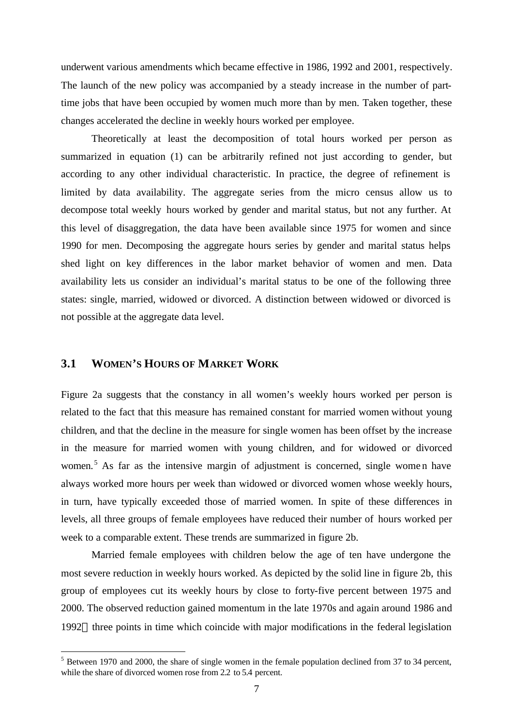underwent various amendments which became effective in 1986, 1992 and 2001, respectively. The launch of the new policy was accompanied by a steady increase in the number of parttime jobs that have been occupied by women much more than by men. Taken together, these changes accelerated the decline in weekly hours worked per employee.

Theoretically at least the decomposition of total hours worked per person as summarized in equation (1) can be arbitrarily refined not just according to gender, but according to any other individual characteristic. In practice, the degree of refinement is limited by data availability. The aggregate series from the micro census allow us to decompose total weekly hours worked by gender and marital status, but not any further. At this level of disaggregation, the data have been available since 1975 for women and since 1990 for men. Decomposing the aggregate hours series by gender and marital status helps shed light on key differences in the labor market behavior of women and men. Data availability lets us consider an individual's marital status to be one of the following three states: single, married, widowed or divorced. A distinction between widowed or divorced is not possible at the aggregate data level.

### **3.1 WOMEN'S HOURS OF MARKET WORK**

 $\overline{a}$ 

Figure 2a suggests that the constancy in all women's weekly hours worked per person is related to the fact that this measure has remained constant for married women without young children, and that the decline in the measure for single women has been offset by the increase in the measure for married women with young children, and for widowed or divorced women.<sup>5</sup> As far as the intensive margin of adjustment is concerned, single women have always worked more hours per week than widowed or divorced women whose weekly hours, in turn, have typically exceeded those of married women. In spite of these differences in levels, all three groups of female employees have reduced their number of hours worked per week to a comparable extent. These trends are summarized in figure 2b.

Married female employees with children below the age of ten have undergone the most severe reduction in weekly hours worked. As depicted by the solid line in figure 2b, this group of employees cut its weekly hours by close to forty-five percent between 1975 and 2000. The observed reduction gained momentum in the late 1970s and again around 1986 and 1992—three points in time which coincide with major modifications in the federal legislation

 $<sup>5</sup>$  Between 1970 and 2000, the share of single women in the female population declined from 37 to 34 percent,</sup> while the share of divorced women rose from 2.2 to 5.4 percent.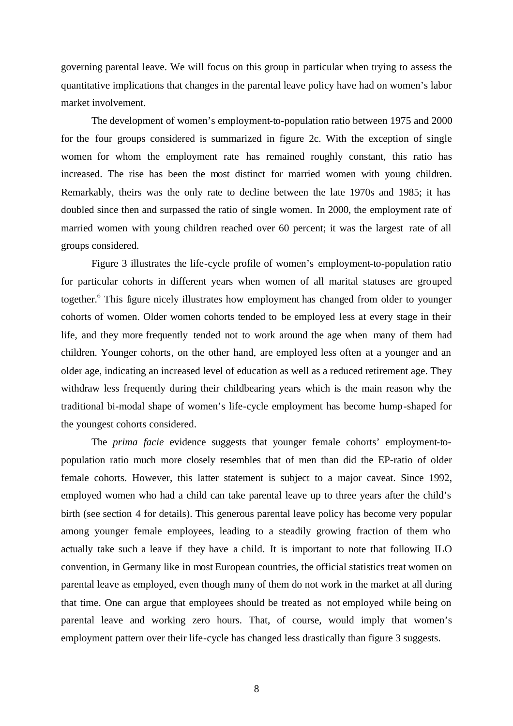governing parental leave. We will focus on this group in particular when trying to assess the quantitative implications that changes in the parental leave policy have had on women's labor market involvement.

The development of women's employment-to-population ratio between 1975 and 2000 for the four groups considered is summarized in figure 2c. With the exception of single women for whom the employment rate has remained roughly constant, this ratio has increased. The rise has been the most distinct for married women with young children. Remarkably, theirs was the only rate to decline between the late 1970s and 1985; it has doubled since then and surpassed the ratio of single women. In 2000, the employment rate of married women with young children reached over 60 percent; it was the largest rate of all groups considered.

Figure 3 illustrates the life-cycle profile of women's employment-to-population ratio for particular cohorts in different years when women of all marital statuses are grouped together.<sup>6</sup> This figure nicely illustrates how employment has changed from older to younger cohorts of women. Older women cohorts tended to be employed less at every stage in their life, and they more frequently tended not to work around the age when many of them had children. Younger cohorts, on the other hand, are employed less often at a younger and an older age, indicating an increased level of education as well as a reduced retirement age. They withdraw less frequently during their childbearing years which is the main reason why the traditional bi-modal shape of women's life-cycle employment has become hump-shaped for the youngest cohorts considered.

The *prima facie* evidence suggests that younger female cohorts' employment-topopulation ratio much more closely resembles that of men than did the EP-ratio of older female cohorts. However, this latter statement is subject to a major caveat. Since 1992, employed women who had a child can take parental leave up to three years after the child's birth (see section 4 for details). This generous parental leave policy has become very popular among younger female employees, leading to a steadily growing fraction of them who actually take such a leave if they have a child. It is important to note that following ILO convention, in Germany like in most European countries, the official statistics treat women on parental leave as employed, even though many of them do not work in the market at all during that time. One can argue that employees should be treated as not employed while being on parental leave and working zero hours. That, of course, would imply that women's employment pattern over their life-cycle has changed less drastically than figure 3 suggests.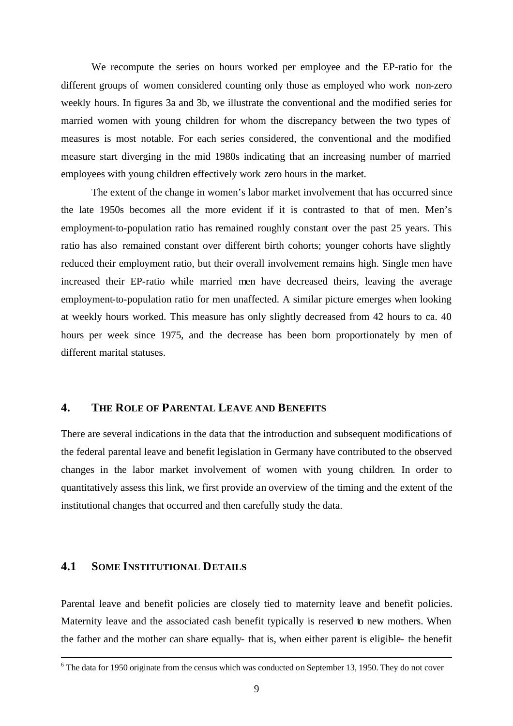We recompute the series on hours worked per employee and the EP-ratio for the different groups of women considered counting only those as employed who work non-zero weekly hours. In figures 3a and 3b, we illustrate the conventional and the modified series for married women with young children for whom the discrepancy between the two types of measures is most notable. For each series considered, the conventional and the modified measure start diverging in the mid 1980s indicating that an increasing number of married employees with young children effectively work zero hours in the market.

The extent of the change in women's labor market involvement that has occurred since the late 1950s becomes all the more evident if it is contrasted to that of men. Men's employment-to-population ratio has remained roughly constant over the past 25 years. This ratio has also remained constant over different birth cohorts; younger cohorts have slightly reduced their employment ratio, but their overall involvement remains high. Single men have increased their EP-ratio while married men have decreased theirs, leaving the average employment-to-population ratio for men unaffected. A similar picture emerges when looking at weekly hours worked. This measure has only slightly decreased from 42 hours to ca. 40 hours per week since 1975, and the decrease has been born proportionately by men of different marital statuses.

### **4. THE ROLE OF PARENTAL LEAVE AND BENEFITS**

There are several indications in the data that the introduction and subsequent modifications of the federal parental leave and benefit legislation in Germany have contributed to the observed changes in the labor market involvement of women with young children. In order to quantitatively assess this link, we first provide an overview of the timing and the extent of the institutional changes that occurred and then carefully study the data.

## **4.1 SOME INSTITUTIONAL DETAILS**

1

Parental leave and benefit policies are closely tied to maternity leave and benefit policies. Maternity leave and the associated cash benefit typically is reserved to new mothers. When the father and the mother can share equally- that is, when either parent is eligible- the benefit

 $6$  The data for 1950 originate from the census which was conducted on September 13, 1950. They do not cover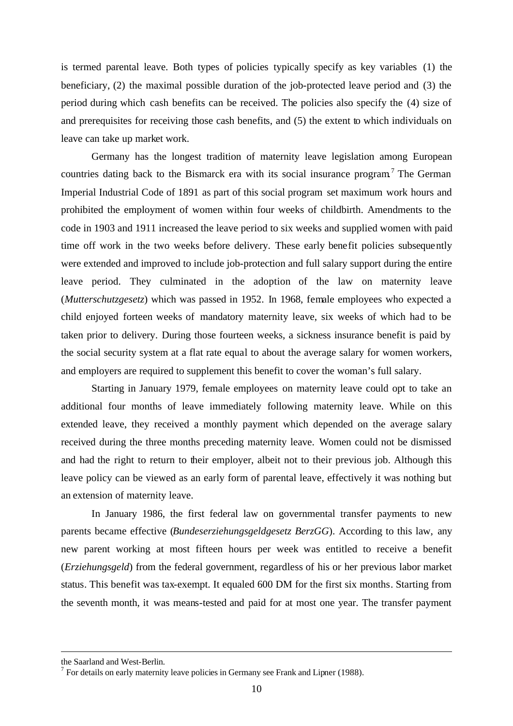is termed parental leave. Both types of policies typically specify as key variables (1) the beneficiary, (2) the maximal possible duration of the job-protected leave period and (3) the period during which cash benefits can be received. The policies also specify the (4) size of and prerequisites for receiving those cash benefits, and (5) the extent to which individuals on leave can take up market work.

Germany has the longest tradition of maternity leave legislation among European countries dating back to the Bismarck era with its social insurance program<sup>7</sup> The German Imperial Industrial Code of 1891 as part of this social program set maximum work hours and prohibited the employment of women within four weeks of childbirth. Amendments to the code in 1903 and 1911 increased the leave period to six weeks and supplied women with paid time off work in the two weeks before delivery. These early benefit policies subsequently were extended and improved to include job-protection and full salary support during the entire leave period. They culminated in the adoption of the law on maternity leave (*Mutterschutzgesetz*) which was passed in 1952. In 1968, female employees who expected a child enjoyed forteen weeks of mandatory maternity leave, six weeks of which had to be taken prior to delivery. During those fourteen weeks, a sickness insurance benefit is paid by the social security system at a flat rate equal to about the average salary for women workers, and employers are required to supplement this benefit to cover the woman's full salary.

Starting in January 1979, female employees on maternity leave could opt to take an additional four months of leave immediately following maternity leave. While on this extended leave, they received a monthly payment which depended on the average salary received during the three months preceding maternity leave. Women could not be dismissed and had the right to return to their employer, albeit not to their previous job. Although this leave policy can be viewed as an early form of parental leave, effectively it was nothing but an extension of maternity leave.

In January 1986, the first federal law on governmental transfer payments to new parents became effective (*Bundeserziehungsgeldgesetz BerzGG*). According to this law, any new parent working at most fifteen hours per week was entitled to receive a benefit (*Erziehungsgeld*) from the federal government, regardless of his or her previous labor market status. This benefit was tax-exempt. It equaled 600 DM for the first six months. Starting from the seventh month, it was means-tested and paid for at most one year. The transfer payment

1

the Saarland and West-Berlin.

 $<sup>7</sup>$  For details on early maternity leave policies in Germany see Frank and Lipner (1988).</sup>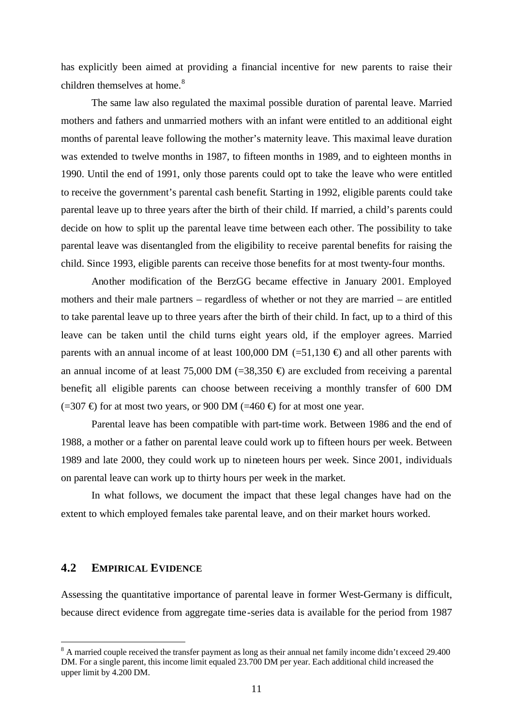has explicitly been aimed at providing a financial incentive for new parents to raise their children themselves at home.<sup>8</sup>

The same law also regulated the maximal possible duration of parental leave. Married mothers and fathers and unmarried mothers with an infant were entitled to an additional eight months of parental leave following the mother's maternity leave. This maximal leave duration was extended to twelve months in 1987, to fifteen months in 1989, and to eighteen months in 1990. Until the end of 1991, only those parents could opt to take the leave who were entitled to receive the government's parental cash benefit. Starting in 1992, eligible parents could take parental leave up to three years after the birth of their child. If married, a child's parents could decide on how to split up the parental leave time between each other. The possibility to take parental leave was disentangled from the eligibility to receive parental benefits for raising the child. Since 1993, eligible parents can receive those benefits for at most twenty-four months.

Another modification of the BerzGG became effective in January 2001. Employed mothers and their male partners – regardless of whether or not they are married – are entitled to take parental leave up to three years after the birth of their child. In fact, up to a third of this leave can be taken until the child turns eight years old, if the employer agrees. Married parents with an annual income of at least 100,000 DM (=51,130  $\oplus$ ) and all other parents with an annual income of at least 75,000 DM (=38,350  $\oplus$ ) are excluded from receiving a parental benefit; all eligible parents can choose between receiving a monthly transfer of 600 DM  $(=307 \oplus$  for at most two years, or 900 DM  $(=460 \oplus$  for at most one year.

Parental leave has been compatible with part-time work. Between 1986 and the end of 1988, a mother or a father on parental leave could work up to fifteen hours per week. Between 1989 and late 2000, they could work up to nineteen hours per week. Since 2001, individuals on parental leave can work up to thirty hours per week in the market.

In what follows, we document the impact that these legal changes have had on the extent to which employed females take parental leave, and on their market hours worked.

#### **4.2 EMPIRICAL EVIDENCE**

 $\overline{a}$ 

Assessing the quantitative importance of parental leave in former West-Germany is difficult, because direct evidence from aggregate time-series data is available for the period from 1987

<sup>&</sup>lt;sup>8</sup> A married couple received the transfer payment as long as their annual net family income didn't exceed 29.400 DM. For a single parent, this income limit equaled 23.700 DM per year. Each additional child increased the upper limit by 4.200 DM.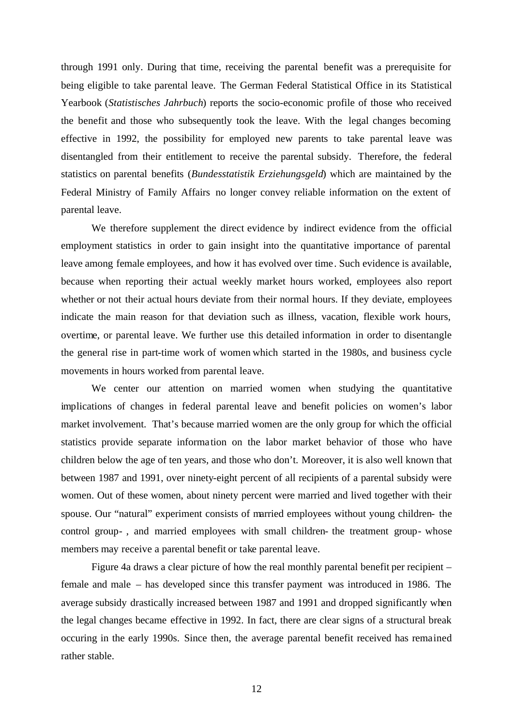through 1991 only. During that time, receiving the parental benefit was a prerequisite for being eligible to take parental leave. The German Federal Statistical Office in its Statistical Yearbook (*Statistisches Jahrbuch*) reports the socio-economic profile of those who received the benefit and those who subsequently took the leave. With the legal changes becoming effective in 1992, the possibility for employed new parents to take parental leave was disentangled from their entitlement to receive the parental subsidy. Therefore, the federal statistics on parental benefits (*Bundesstatistik Erziehungsgeld*) which are maintained by the Federal Ministry of Family Affairs no longer convey reliable information on the extent of parental leave.

We therefore supplement the direct evidence by indirect evidence from the official employment statistics in order to gain insight into the quantitative importance of parental leave among female employees, and how it has evolved over time. Such evidence is available, because when reporting their actual weekly market hours worked, employees also report whether or not their actual hours deviate from their normal hours. If they deviate, employees indicate the main reason for that deviation such as illness, vacation, flexible work hours, overtime, or parental leave. We further use this detailed information in order to disentangle the general rise in part-time work of women which started in the 1980s, and business cycle movements in hours worked from parental leave.

We center our attention on married women when studying the quantitative implications of changes in federal parental leave and benefit policies on women's labor market involvement. That's because married women are the only group for which the official statistics provide separate information on the labor market behavior of those who have children below the age of ten years, and those who don't. Moreover, it is also well known that between 1987 and 1991, over ninety-eight percent of all recipients of a parental subsidy were women. Out of these women, about ninety percent were married and lived together with their spouse. Our "natural" experiment consists of married employees without young children- the control group- , and married employees with small children- the treatment group- whose members may receive a parental benefit or take parental leave.

Figure 4a draws a clear picture of how the real monthly parental benefit per recipient – female and male – has developed since this transfer payment was introduced in 1986. The average subsidy drastically increased between 1987 and 1991 and dropped significantly when the legal changes became effective in 1992. In fact, there are clear signs of a structural break occuring in the early 1990s. Since then, the average parental benefit received has remained rather stable.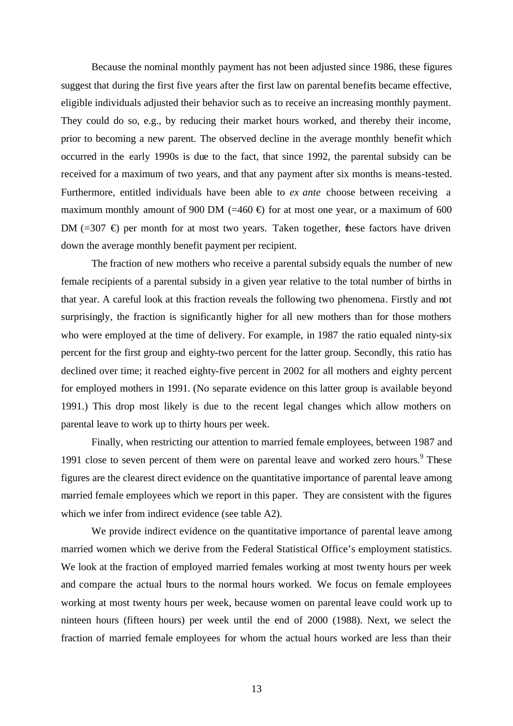Because the nominal monthly payment has not been adjusted since 1986, these figures suggest that during the first five years after the first law on parental benefits became effective, eligible individuals adjusted their behavior such as to receive an increasing monthly payment. They could do so, e.g., by reducing their market hours worked, and thereby their income, prior to becoming a new parent. The observed decline in the average monthly benefit which occurred in the early 1990s is due to the fact, that since 1992, the parental subsidy can be received for a maximum of two years, and that any payment after six months is means-tested. Furthermore, entitled individuals have been able to *ex ante* choose between receiving a maximum monthly amount of 900 DM (=460  $\oplus$ ) for at most one year, or a maximum of 600 DM (=307  $\oplus$ ) per month for at most two years. Taken together, these factors have driven down the average monthly benefit payment per recipient.

The fraction of new mothers who receive a parental subsidy equals the number of new female recipients of a parental subsidy in a given year relative to the total number of births in that year. A careful look at this fraction reveals the following two phenomena. Firstly and not surprisingly, the fraction is significantly higher for all new mothers than for those mothers who were employed at the time of delivery. For example, in 1987 the ratio equaled ninty-six percent for the first group and eighty-two percent for the latter group. Secondly, this ratio has declined over time; it reached eighty-five percent in 2002 for all mothers and eighty percent for employed mothers in 1991. (No separate evidence on this latter group is available beyond 1991.) This drop most likely is due to the recent legal changes which allow mothers on parental leave to work up to thirty hours per week.

Finally, when restricting our attention to married female employees, between 1987 and 1991 close to seven percent of them were on parental leave and worked zero hours.<sup>9</sup> These figures are the clearest direct evidence on the quantitative importance of parental leave among married female employees which we report in this paper. They are consistent with the figures which we infer from indirect evidence (see table A2).

We provide indirect evidence on the quantitative importance of parental leave among married women which we derive from the Federal Statistical Office's employment statistics. We look at the fraction of employed married females working at most twenty hours per week and compare the actual hours to the normal hours worked. We focus on female employees working at most twenty hours per week, because women on parental leave could work up to ninteen hours (fifteen hours) per week until the end of 2000 (1988). Next, we select the fraction of married female employees for whom the actual hours worked are less than their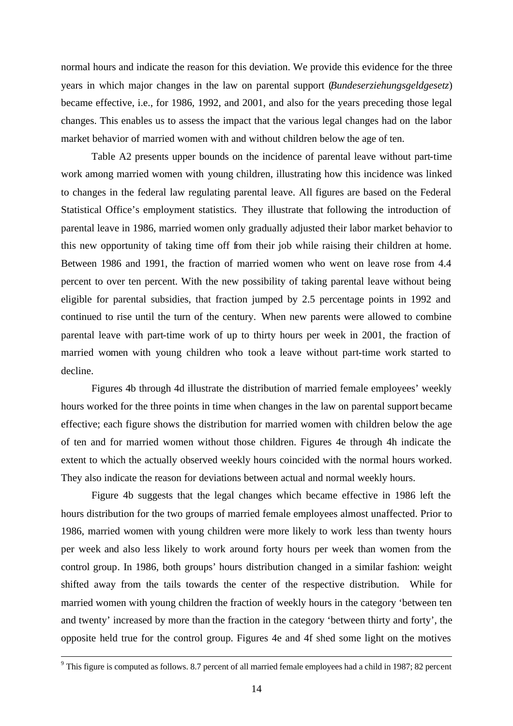normal hours and indicate the reason for this deviation. We provide this evidence for the three years in which major changes in the law on parental support (*Bundeserziehungsgeldgesetz*) became effective, i.e., for 1986, 1992, and 2001, and also for the years preceding those legal changes. This enables us to assess the impact that the various legal changes had on the labor market behavior of married women with and without children below the age of ten.

Table A2 presents upper bounds on the incidence of parental leave without part-time work among married women with young children, illustrating how this incidence was linked to changes in the federal law regulating parental leave. All figures are based on the Federal Statistical Office's employment statistics. They illustrate that following the introduction of parental leave in 1986, married women only gradually adjusted their labor market behavior to this new opportunity of taking time off from their job while raising their children at home. Between 1986 and 1991, the fraction of married women who went on leave rose from 4.4 percent to over ten percent. With the new possibility of taking parental leave without being eligible for parental subsidies, that fraction jumped by 2.5 percentage points in 1992 and continued to rise until the turn of the century. When new parents were allowed to combine parental leave with part-time work of up to thirty hours per week in 2001, the fraction of married women with young children who took a leave without part-time work started to decline.

Figures 4b through 4d illustrate the distribution of married female employees' weekly hours worked for the three points in time when changes in the law on parental support became effective; each figure shows the distribution for married women with children below the age of ten and for married women without those children. Figures 4e through 4h indicate the extent to which the actually observed weekly hours coincided with the normal hours worked. They also indicate the reason for deviations between actual and normal weekly hours.

Figure 4b suggests that the legal changes which became effective in 1986 left the hours distribution for the two groups of married female employees almost unaffected. Prior to 1986, married women with young children were more likely to work less than twenty hours per week and also less likely to work around forty hours per week than women from the control group. In 1986, both groups' hours distribution changed in a similar fashion: weight shifted away from the tails towards the center of the respective distribution. While for married women with young children the fraction of weekly hours in the category 'between ten and twenty' increased by more than the fraction in the category 'between thirty and forty', the opposite held true for the control group. Figures 4e and 4f shed some light on the motives

1

 $9$  This figure is computed as follows. 8.7 percent of all married female employees had a child in 1987; 82 percent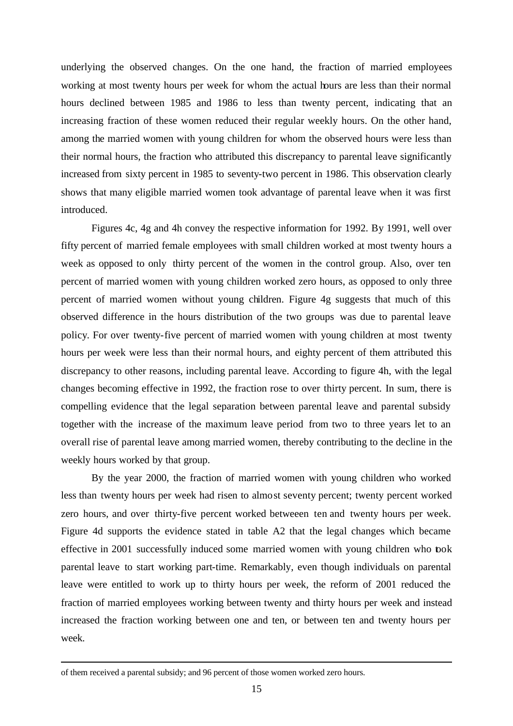underlying the observed changes. On the one hand, the fraction of married employees working at most twenty hours per week for whom the actual hours are less than their normal hours declined between 1985 and 1986 to less than twenty percent, indicating that an increasing fraction of these women reduced their regular weekly hours. On the other hand, among the married women with young children for whom the observed hours were less than their normal hours, the fraction who attributed this discrepancy to parental leave significantly increased from sixty percent in 1985 to seventy-two percent in 1986. This observation clearly shows that many eligible married women took advantage of parental leave when it was first introduced.

Figures 4c, 4g and 4h convey the respective information for 1992. By 1991, well over fifty percent of married female employees with small children worked at most twenty hours a week as opposed to only thirty percent of the women in the control group. Also, over ten percent of married women with young children worked zero hours, as opposed to only three percent of married women without young children. Figure 4g suggests that much of this observed difference in the hours distribution of the two groups was due to parental leave policy. For over twenty-five percent of married women with young children at most twenty hours per week were less than their normal hours, and eighty percent of them attributed this discrepancy to other reasons, including parental leave. According to figure 4h, with the legal changes becoming effective in 1992, the fraction rose to over thirty percent. In sum, there is compelling evidence that the legal separation between parental leave and parental subsidy together with the increase of the maximum leave period from two to three years let to an overall rise of parental leave among married women, thereby contributing to the decline in the weekly hours worked by that group.

By the year 2000, the fraction of married women with young children who worked less than twenty hours per week had risen to almost seventy percent; twenty percent worked zero hours, and over thirty-five percent worked betweeen ten and twenty hours per week. Figure 4d supports the evidence stated in table A2 that the legal changes which became effective in 2001 successfully induced some married women with young children who took parental leave to start working part-time. Remarkably, even though individuals on parental leave were entitled to work up to thirty hours per week, the reform of 2001 reduced the fraction of married employees working between twenty and thirty hours per week and instead increased the fraction working between one and ten, or between ten and twenty hours per week.

1

of them received a parental subsidy; and 96 percent of those women worked zero hours.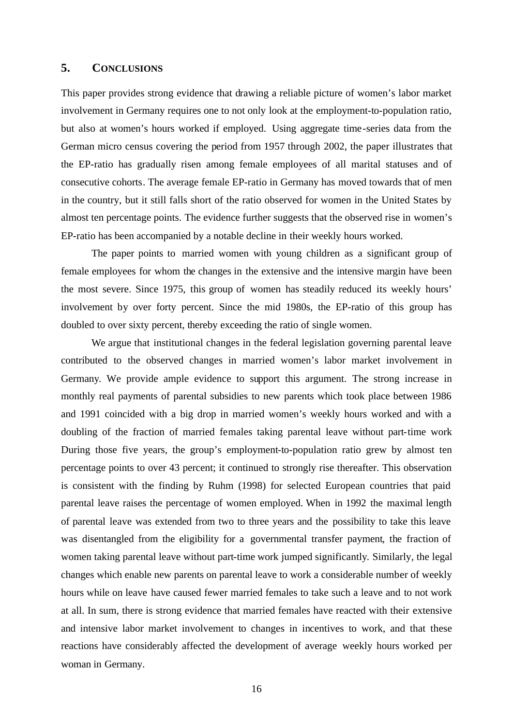# **5. CONCLUSIONS**

This paper provides strong evidence that drawing a reliable picture of women's labor market involvement in Germany requires one to not only look at the employment-to-population ratio, but also at women's hours worked if employed. Using aggregate time-series data from the German micro census covering the period from 1957 through 2002, the paper illustrates that the EP-ratio has gradually risen among female employees of all marital statuses and of consecutive cohorts. The average female EP-ratio in Germany has moved towards that of men in the country, but it still falls short of the ratio observed for women in the United States by almost ten percentage points. The evidence further suggests that the observed rise in women's EP-ratio has been accompanied by a notable decline in their weekly hours worked.

The paper points to married women with young children as a significant group of female employees for whom the changes in the extensive and the intensive margin have been the most severe. Since 1975, this group of women has steadily reduced its weekly hours' involvement by over forty percent. Since the mid 1980s, the EP-ratio of this group has doubled to over sixty percent, thereby exceeding the ratio of single women.

We argue that institutional changes in the federal legislation governing parental leave contributed to the observed changes in married women's labor market involvement in Germany. We provide ample evidence to support this argument. The strong increase in monthly real payments of parental subsidies to new parents which took place between 1986 and 1991 coincided with a big drop in married women's weekly hours worked and with a doubling of the fraction of married females taking parental leave without part-time work During those five years, the group's employment-to-population ratio grew by almost ten percentage points to over 43 percent; it continued to strongly rise thereafter. This observation is consistent with the finding by Ruhm (1998) for selected European countries that paid parental leave raises the percentage of women employed. When in 1992 the maximal length of parental leave was extended from two to three years and the possibility to take this leave was disentangled from the eligibility for a governmental transfer payment, the fraction of women taking parental leave without part-time work jumped significantly. Similarly, the legal changes which enable new parents on parental leave to work a considerable number of weekly hours while on leave have caused fewer married females to take such a leave and to not work at all. In sum, there is strong evidence that married females have reacted with their extensive and intensive labor market involvement to changes in incentives to work, and that these reactions have considerably affected the development of average weekly hours worked per woman in Germany.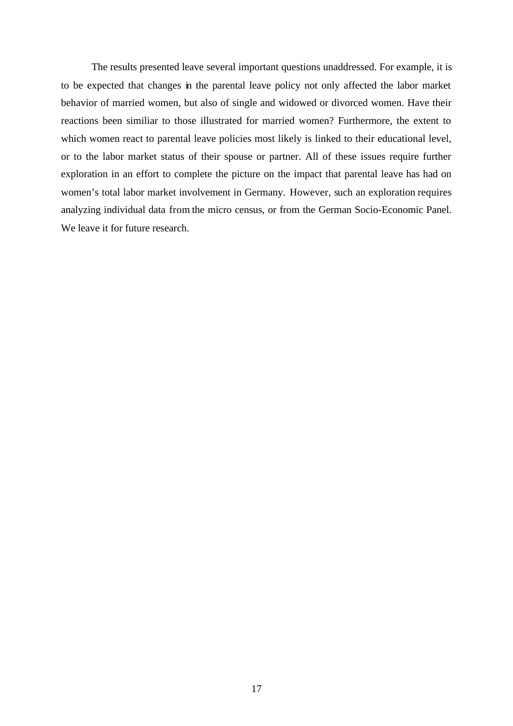The results presented leave several important questions unaddressed. For example, it is to be expected that changes in the parental leave policy not only affected the labor market behavior of married women, but also of single and widowed or divorced women. Have their reactions been similiar to those illustrated for married women? Furthermore, the extent to which women react to parental leave policies most likely is linked to their educational level, or to the labor market status of their spouse or partner. All of these issues require further exploration in an effort to complete the picture on the impact that parental leave has had on women's total labor market involvement in Germany. However, such an exploration requires analyzing individual data from the micro census, or from the German Socio-Economic Panel. We leave it for future research.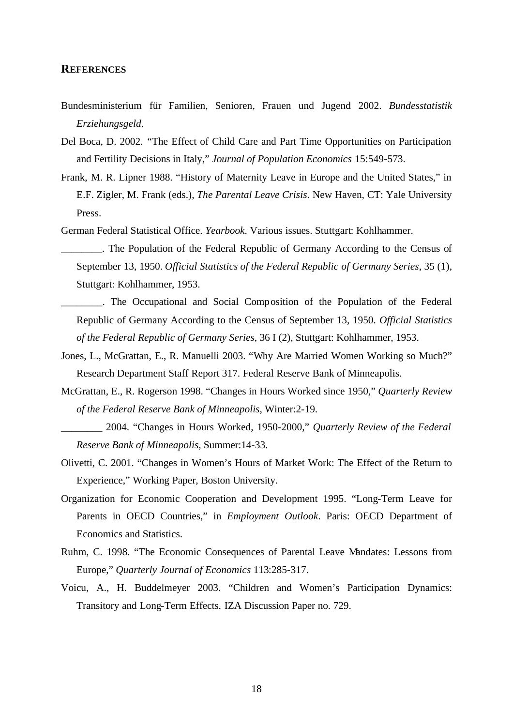#### **REFERENCES**

- Bundesministerium für Familien, Senioren, Frauen und Jugend 2002. *Bundesstatistik Erziehungsgeld*.
- Del Boca, D. 2002. "The Effect of Child Care and Part Time Opportunities on Participation and Fertility Decisions in Italy," *Journal of Population Economics* 15:549-573.
- Frank, M. R. Lipner 1988. "History of Maternity Leave in Europe and the United States," in E.F. Zigler, M. Frank (eds.), *The Parental Leave Crisis*. New Haven, CT: Yale University Press.
- German Federal Statistical Office. *Yearbook*. Various issues. Stuttgart: Kohlhammer.
- \_\_\_\_\_\_\_\_. The Population of the Federal Republic of Germany According to the Census of September 13, 1950. *Official Statistics of the Federal Republic of Germany Series*, 35 (1), Stuttgart: Kohlhammer, 1953.
- \_\_\_\_\_\_\_\_. The Occupational and Social Composition of the Population of the Federal Republic of Germany According to the Census of September 13, 1950. *Official Statistics of the Federal Republic of Germany Series*, 36 I (2), Stuttgart: Kohlhammer, 1953.
- Jones, L., McGrattan, E., R. Manuelli 2003. "Why Are Married Women Working so Much?" Research Department Staff Report 317. Federal Reserve Bank of Minneapolis.
- McGrattan, E., R. Rogerson 1998. "Changes in Hours Worked since 1950," *Quarterly Review of the Federal Reserve Bank of Minneapolis*, Winter:2-19.
	- \_\_\_\_\_\_\_\_ 2004. "Changes in Hours Worked, 1950-2000," *Quarterly Review of the Federal Reserve Bank of Minneapolis*, Summer:14-33.
- Olivetti, C. 2001. "Changes in Women's Hours of Market Work: The Effect of the Return to Experience," Working Paper, Boston University.
- Organization for Economic Cooperation and Development 1995. "Long-Term Leave for Parents in OECD Countries," in *Employment Outlook*. Paris: OECD Department of Economics and Statistics.
- Ruhm, C. 1998. "The Economic Consequences of Parental Leave Mandates: Lessons from Europe," *Quarterly Journal of Economics* 113:285-317.
- Voicu, A., H. Buddelmeyer 2003. "Children and Women's Participation Dynamics: Transitory and Long-Term Effects. IZA Discussion Paper no. 729.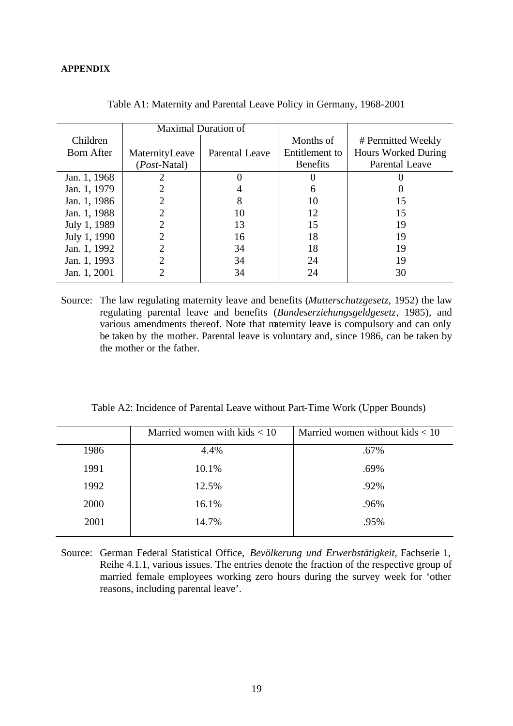|                   | <b>Maximal Duration of</b> |                       |                 |                       |
|-------------------|----------------------------|-----------------------|-----------------|-----------------------|
| Children          |                            |                       | Months of       | # Permitted Weekly    |
| <b>Born After</b> | MaternityLeave             | <b>Parental Leave</b> | Entitlement to  | Hours Worked During   |
|                   | ( <i>Post</i> -Natal)      |                       | <b>Benefits</b> | <b>Parental Leave</b> |
| Jan. 1, 1968      |                            |                       |                 |                       |
| Jan. 1, 1979      |                            | 4                     | 6               |                       |
| Jan. 1, 1986      |                            | 8                     | 10              | 15                    |
| Jan. 1, 1988      |                            | 10                    | 12              | 15                    |
| July 1, 1989      |                            | 13                    | 15              | 19                    |
| July 1, 1990      |                            | 16                    | 18              | 19                    |
| Jan. 1, 1992      | 2                          | 34                    | 18              | 19                    |
| Jan. 1, 1993      |                            | 34                    | 24              | 19                    |
| Jan. 1, 2001      |                            | 34                    | 24              | 30                    |

Table A1: Maternity and Parental Leave Policy in Germany, 1968-2001

Source: The law regulating maternity leave and benefits (*Mutterschutzgesetz*, 1952) the law regulating parental leave and benefits (*Bundeserziehungsgeldgesetz*, 1985), and various amendments thereof. Note that maternity leave is compulsory and can only be taken by the mother. Parental leave is voluntary and, since 1986, can be taken by the mother or the father.

| Table A2: Incidence of Parental Leave without Part-Time Work (Upper Bounds) |  |  |
|-----------------------------------------------------------------------------|--|--|
|-----------------------------------------------------------------------------|--|--|

|      | Married women with kids $< 10$ | Married women without kids $< 10$ |
|------|--------------------------------|-----------------------------------|
| 1986 | 4.4%                           | .67%                              |
| 1991 | 10.1%                          | .69%                              |
| 1992 | 12.5%                          | .92%                              |
| 2000 | 16.1%                          | .96%                              |
| 2001 | 14.7%                          | .95%                              |
|      |                                |                                   |

Source: German Federal Statistical Office, *Bevölkerung und Erwerbstätigkeit*, Fachserie 1, Reihe 4.1.1, various issues. The entries denote the fraction of the respective group of married female employees working zero hours during the survey week for 'other reasons, including parental leave'.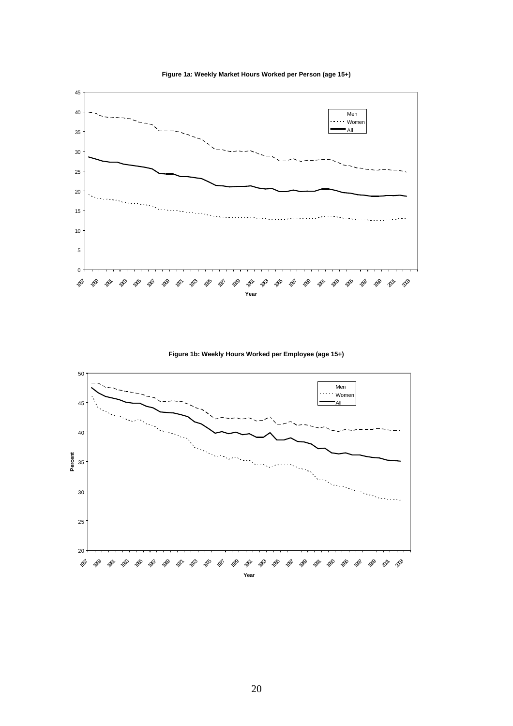



**Figure 1b: Weekly Hours Worked per Employee (age 15+)**

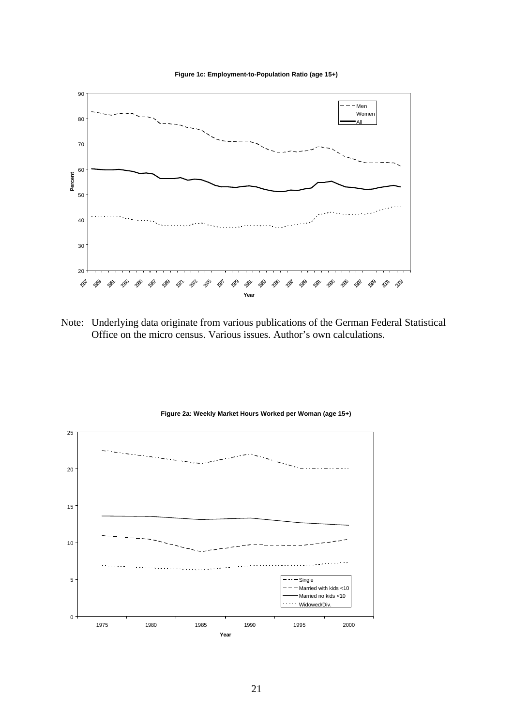



Note: Underlying data originate from various publications of the German Federal Statistical Office on the micro census. Various issues. Author's own calculations.



#### **Figure 2a: Weekly Market Hours Worked per Woman (age 15+)**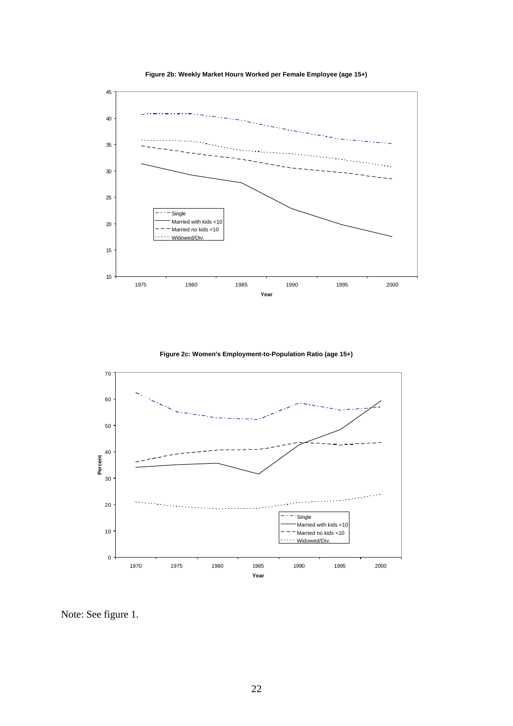

**Figure 2b: Weekly Market Hours Worked per Female Employee (age 15+)**

**Figure 2c: Women's Employment-to-Population Ratio (age 15+)**



Note: See figure 1.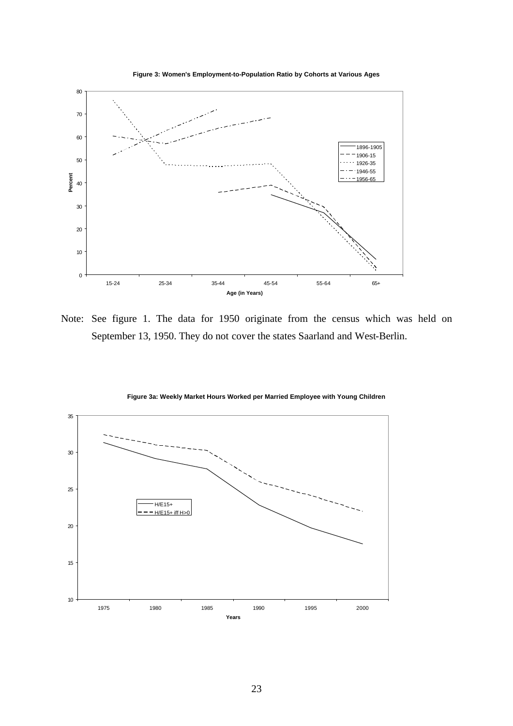



Note: See figure 1. The data for 1950 originate from the census which was held on September 13, 1950. They do not cover the states Saarland and West-Berlin.



**Figure 3a: Weekly Market Hours Worked per Married Employee with Young Children**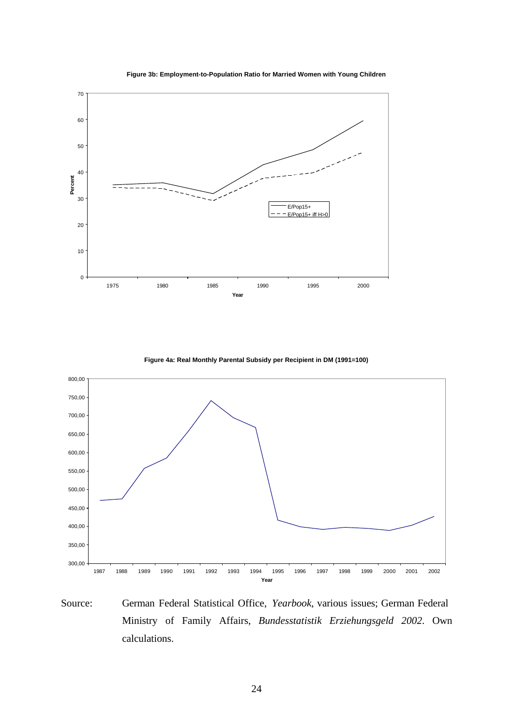

**Figure 3b: Employment-to-Population Ratio for Married Women with Young Children**

**Figure 4a: Real Monthly Parental Subsidy per Recipient in DM (1991=100)**



Source: German Federal Statistical Office, *Yearbook*, various issues; German Federal Ministry of Family Affairs, *Bundesstatistik Erziehungsgeld 2002*. Own calculations.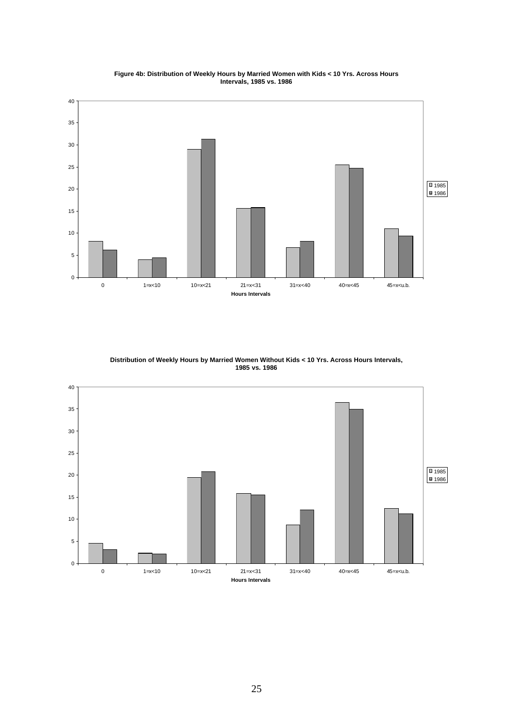

**Figure 4b: Distribution of Weekly Hours by Married Women with Kids < 10 Yrs. Across Hours Intervals, 1985 vs. 1986**

**Distribution of Weekly Hours by Married Women Without Kids < 10 Yrs. Across Hours Intervals, 1985 vs. 1986**

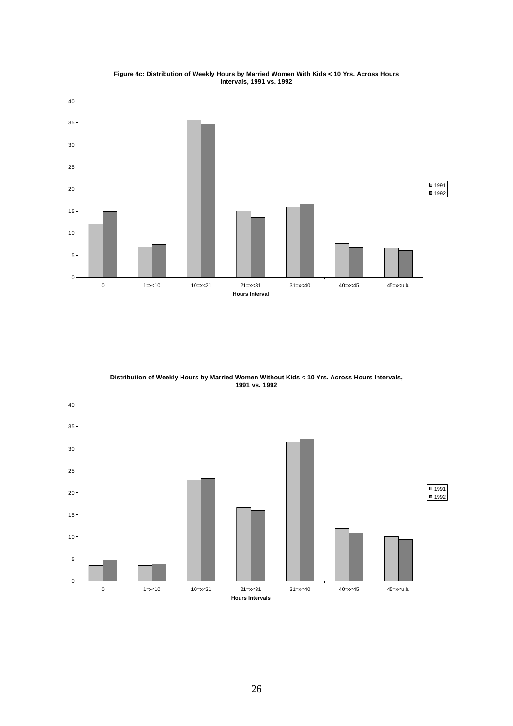

**Figure 4c: Distribution of Weekly Hours by Married Women With Kids < 10 Yrs. Across Hours Intervals, 1991 vs. 1992**

**Distribution of Weekly Hours by Married Women Without Kids < 10 Yrs. Across Hours Intervals, 1991 vs. 1992**

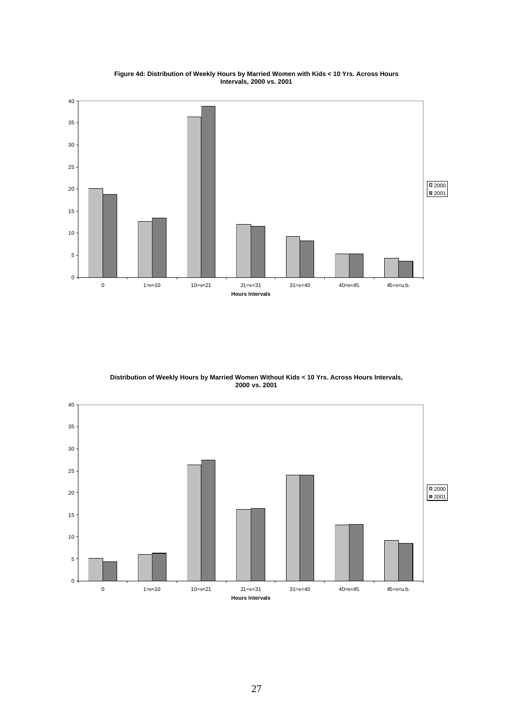

**Figure 4d: Distribution of Weekly Hours by Married Women with Kids < 10 Yrs. Across Hours Intervals, 2000 vs. 2001**

**Distribution of Weekly Hours by Married Women Without Kids < 10 Yrs. Across Hours Intervals, 2000 vs. 2001**

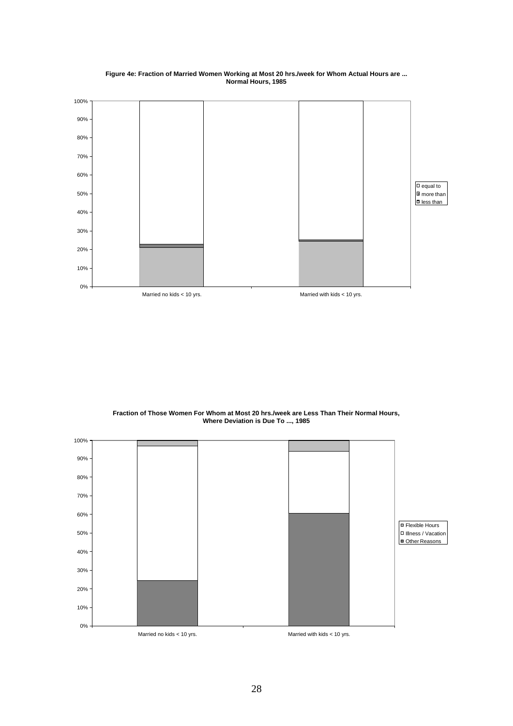

**Figure 4e: Fraction of Married Women Working at Most 20 hrs./week for Whom Actual Hours are ... Normal Hours, 1985**

**Fraction of Those Women For Whom at Most 20 hrs./week are Less Than Their Normal Hours, Where Deviation is Due To ..., 1985**

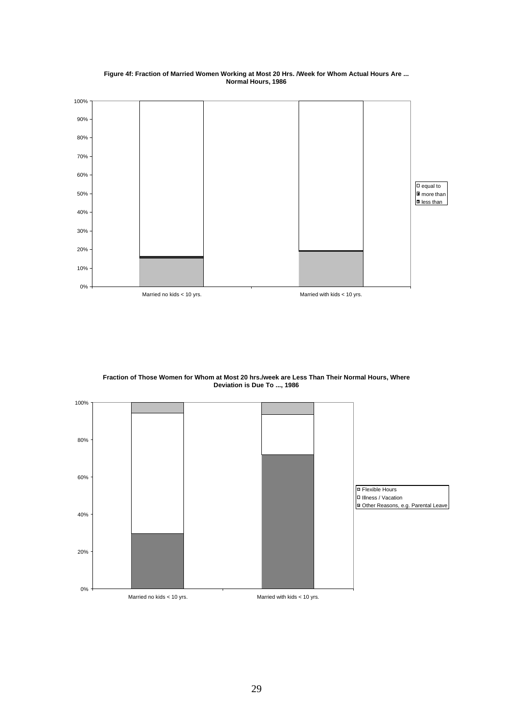

#### **Figure 4f: Fraction of Married Women Working at Most 20 Hrs. /Week for Whom Actual Hours Are ... Normal Hours, 1986**



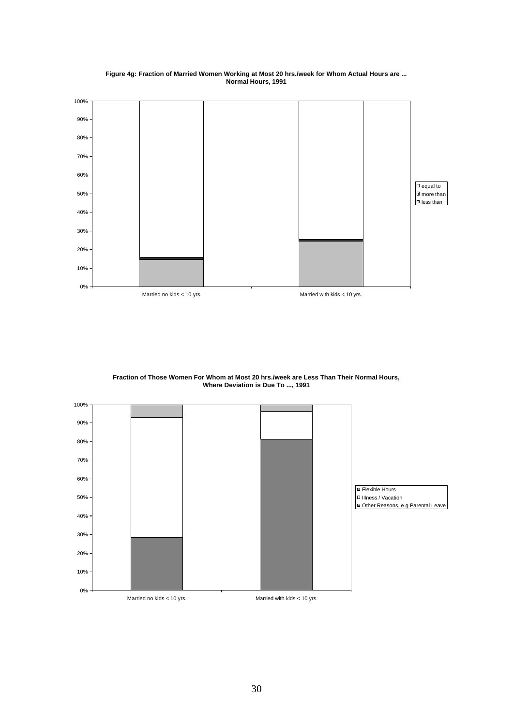

**Figure 4g: Fraction of Married Women Working at Most 20 hrs./week for Whom Actual Hours are ... Normal Hours, 1991**

**Fraction of Those Women For Whom at Most 20 hrs./week are Less Than Their Normal Hours, Where Deviation is Due To ..., 1991**